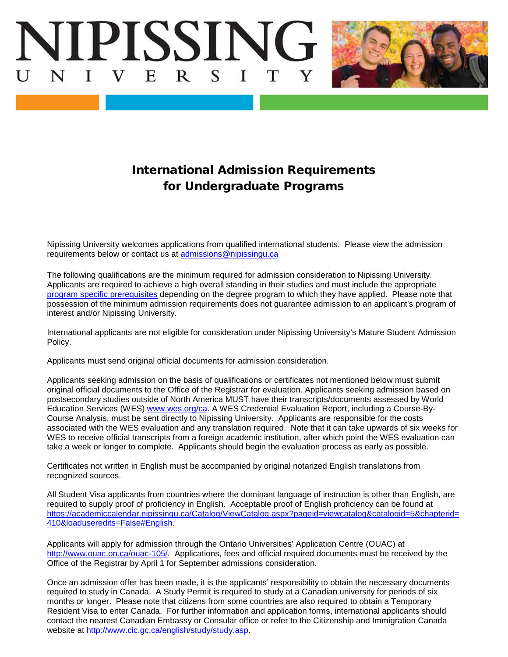



## International Admission Requirements for Undergraduate Programs

Nipissing University welcomes applications from qualified international students. Please view the admission requirements below or contact us at [admissions@nipissingu.ca](mailto:admissions@nipissingu.ca)

The following qualifications are the minimum required for admission consideration to Nipissing University. Applicants are required to achieve a high overall standing in their studies and must include the appropriate [program specific prerequisites](https://academiccalendar.nipissingu.ca/Catalog/ViewCatalog.aspx?pageid=viewcatalog&catalogid=5&chapterid=411&topicgroupid=1891&loaduseredits=False) depending on the degree program to which they have applied. Please note that possession of the minimum admission requirements does not guarantee admission to an applicant's program of interest and/or Nipissing University.

International applicants are not eligible for consideration under Nipissing University's Mature Student Admission Policy.

Applicants must send original official documents for admission consideration.

Applicants seeking admission on the basis of qualifications or certificates not mentioned below must submit original official documents to the Office of the Registrar for evaluation. Applicants seeking admission based on postsecondary studies outside of North America MUST have their transcripts/documents assessed by World Education Services (WES) [www.wes.org/ca.](http://www.wes.org/ca) A WES Credential Evaluation Report, including a Course-By-Course Analysis, must be sent directly to Nipissing University. Applicants are responsible for the costs associated with the WES evaluation and any translation required. Note that it can take upwards of six weeks for WES to receive official transcripts from a foreign academic institution, after which point the WES evaluation can take a week or longer to complete. Applicants should begin the evaluation process as early as possible.

Certificates not written in English must be accompanied by original notarized English translations from recognized sources.

All Student Visa applicants from countries where the dominant language of instruction is other than English, are required to supply proof of proficiency in English. Acceptable proof of English proficiency can be found at [https://academiccalendar.nipissingu.ca/Catalog/ViewCatalog.aspx?pageid=viewcatalog&catalogid=5&chapterid=](https://academiccalendar.nipissingu.ca/Catalog/ViewCatalog.aspx?pageid=viewcatalog&catalogid=5&chapterid=410&loaduseredits=False#English) [410&loaduseredits=False#English.](https://academiccalendar.nipissingu.ca/Catalog/ViewCatalog.aspx?pageid=viewcatalog&catalogid=5&chapterid=410&loaduseredits=False#English)

Applicants will apply for admission through the Ontario Universities' Application Centre (OUAC) at [http://www.ouac.on.ca/ouac-105/.](http://www.ouac.on.ca/ouac-105/) Applications, fees and official required documents must be received by the Office of the Registrar by April 1 for September admissions consideration.

Once an admission offer has been made, it is the applicants' responsibility to obtain the necessary documents required to study in Canada. A Study Permit is required to study at a Canadian university for periods of six months or longer. Please note that citizens from some countries are also required to obtain a Temporary Resident Visa to enter Canada. For further information and application forms, international applicants should contact the nearest Canadian Embassy or Consular office or refer to the Citizenship and Immigration Canada website at [http://www.cic.gc.ca/english/study/study.asp.](http://www.cic.gc.ca/english/study/study.asp)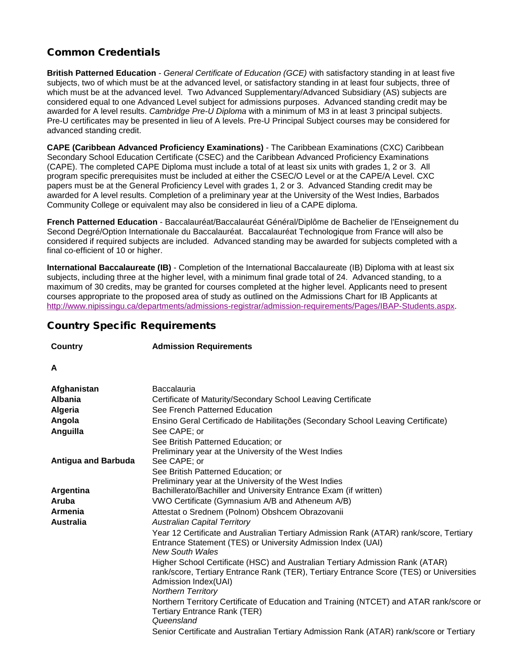## Common Credentials

**British Patterned Education** - *General Certificate of Education (GCE)* with satisfactory standing in at least five subjects, two of which must be at the advanced level, or satisfactory standing in at least four subjects, three of which must be at the advanced level. Two Advanced Supplementary/Advanced Subsidiary (AS) subjects are considered equal to one Advanced Level subject for admissions purposes. Advanced standing credit may be awarded for A level results. *Cambridge Pre-U Diploma* with a minimum of M3 in at least 3 principal subjects. Pre-U certificates may be presented in lieu of A levels. Pre-U Principal Subject courses may be considered for advanced standing credit.

**CAPE (Caribbean Advanced Proficiency Examinations)** - The Caribbean Examinations (CXC) Caribbean Secondary School Education Certificate (CSEC) and the Caribbean Advanced Proficiency Examinations (CAPE). The completed CAPE Diploma must include a total of at least six units with grades 1, 2 or 3. All program specific prerequisites must be included at either the CSEC/O Level or at the CAPE/A Level. CXC papers must be at the General Proficiency Level with grades 1, 2 or 3. Advanced Standing credit may be awarded for A level results. Completion of a preliminary year at the University of the West Indies, Barbados Community College or equivalent may also be considered in lieu of a CAPE diploma.

**French Patterned Education** - Baccalauréat/Baccalauréat Général/Diplôme de Bachelier de l'Enseignement du Second Degré/Option Internationale du Baccalauréat. Baccalauréat Technologique from France will also be considered if required subjects are included. Advanced standing may be awarded for subjects completed with a final co-efficient of 10 or higher.

**International Baccalaureate (IB)** - Completion of the International Baccalaureate (IB) Diploma with at least six subjects, including three at the higher level, with a minimum final grade total of 24. Advanced standing, to a maximum of 30 credits, may be granted for courses completed at the higher level. Applicants need to present courses appropriate to the proposed area of study as outlined on the Admissions Chart for IB Applicants at [http://www.nipissingu.ca/departments/admissions-registrar/admission-requirements/Pages/IBAP-Students.aspx.](http://www.nipissingu.ca/departments/admissions-registrar/admission-requirements/Pages/IBAP-Students.aspx)

## Country Specific Requirements

**Country Admission Requirements**

## **A**

| Afghanistan                | <b>Baccalauria</b>                                                                                                                                                                                                            |
|----------------------------|-------------------------------------------------------------------------------------------------------------------------------------------------------------------------------------------------------------------------------|
| <b>Albania</b>             | Certificate of Maturity/Secondary School Leaving Certificate                                                                                                                                                                  |
| Algeria                    | See French Patterned Education                                                                                                                                                                                                |
| Angola                     | Ensino Geral Certificado de Habilitações (Secondary School Leaving Certificate)                                                                                                                                               |
| Anguilla                   | See CAPE; or                                                                                                                                                                                                                  |
|                            | See British Patterned Education; or                                                                                                                                                                                           |
|                            | Preliminary year at the University of the West Indies                                                                                                                                                                         |
| <b>Antigua and Barbuda</b> | See CAPE; or                                                                                                                                                                                                                  |
|                            | See British Patterned Education; or                                                                                                                                                                                           |
|                            | Preliminary year at the University of the West Indies                                                                                                                                                                         |
| Argentina                  | Bachillerato/Bachiller and University Entrance Exam (if written)                                                                                                                                                              |
| Aruba                      | VWO Certificate (Gymnasium A/B and Atheneum A/B)                                                                                                                                                                              |
| Armenia                    | Attestat o Srednem (Polnom) Obshcem Obrazovanii                                                                                                                                                                               |
| <b>Australia</b>           | <b>Australian Capital Territory</b>                                                                                                                                                                                           |
|                            | Year 12 Certificate and Australian Tertiary Admission Rank (ATAR) rank/score, Tertiary<br>Entrance Statement (TES) or University Admission Index (UAI)<br><b>New South Wales</b>                                              |
|                            | Higher School Certificate (HSC) and Australian Tertiary Admission Rank (ATAR)<br>rank/score, Tertiary Entrance Rank (TER), Tertiary Entrance Score (TES) or Universities<br>Admission Index(UAI)<br><b>Northern Territory</b> |
|                            | Northern Territory Certificate of Education and Training (NTCET) and ATAR rank/score or<br><b>Tertiary Entrance Rank (TER)</b><br>Queensland                                                                                  |
|                            | Senior Certificate and Australian Tertiary Admission Rank (ATAR) rank/score or Tertiary                                                                                                                                       |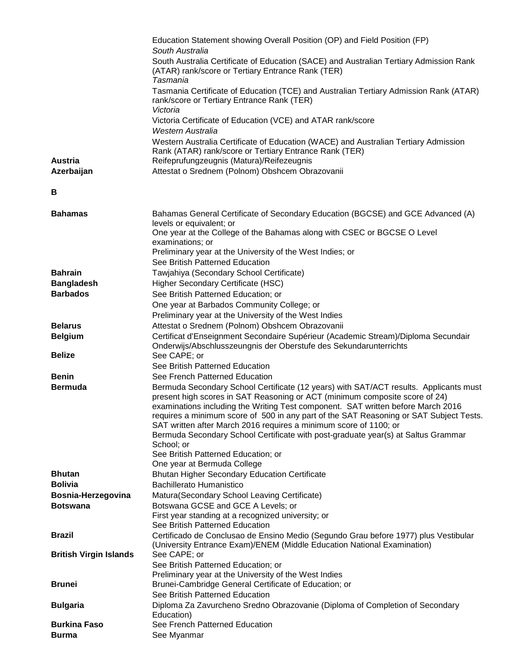|                               | Education Statement showing Overall Position (OP) and Field Position (FP)                                                                                       |
|-------------------------------|-----------------------------------------------------------------------------------------------------------------------------------------------------------------|
|                               | South Australia                                                                                                                                                 |
|                               | South Australia Certificate of Education (SACE) and Australian Tertiary Admission Rank<br>(ATAR) rank/score or Tertiary Entrance Rank (TER)                     |
|                               | Tasmania                                                                                                                                                        |
|                               | Tasmania Certificate of Education (TCE) and Australian Tertiary Admission Rank (ATAR)<br>rank/score or Tertiary Entrance Rank (TER)                             |
|                               | Victoria<br>Victoria Certificate of Education (VCE) and ATAR rank/score<br>Western Australia                                                                    |
|                               | Western Australia Certificate of Education (WACE) and Australian Tertiary Admission                                                                             |
|                               | Rank (ATAR) rank/score or Tertiary Entrance Rank (TER)                                                                                                          |
| <b>Austria</b>                | Reifeprufungzeugnis (Matura)/Reifezeugnis                                                                                                                       |
| Azerbaijan                    | Attestat o Srednem (Polnom) Obshcem Obrazovanii                                                                                                                 |
| В                             |                                                                                                                                                                 |
|                               |                                                                                                                                                                 |
| <b>Bahamas</b>                | Bahamas General Certificate of Secondary Education (BGCSE) and GCE Advanced (A)<br>levels or equivalent; or                                                     |
|                               | One year at the College of the Bahamas along with CSEC or BGCSE O Level<br>examinations; or                                                                     |
|                               | Preliminary year at the University of the West Indies; or                                                                                                       |
|                               | See British Patterned Education                                                                                                                                 |
| <b>Bahrain</b>                | Tawjahiya (Secondary School Certificate)                                                                                                                        |
| <b>Bangladesh</b>             | Higher Secondary Certificate (HSC)                                                                                                                              |
| <b>Barbados</b>               | See British Patterned Education; or<br>One year at Barbados Community College; or                                                                               |
|                               | Preliminary year at the University of the West Indies                                                                                                           |
| <b>Belarus</b>                | Attestat o Srednem (Polnom) Obshcem Obrazovanii                                                                                                                 |
| <b>Belgium</b>                | Certificat d'Enseignment Secondaire Supérieur (Academic Stream)/Diploma Secundair                                                                               |
|                               | Onderwijs/Abschlusszeungnis der Oberstufe des Sekundarunterrichts                                                                                               |
| <b>Belize</b>                 | See CAPE; or                                                                                                                                                    |
|                               | See British Patterned Education                                                                                                                                 |
| <b>Benin</b>                  | See French Patterned Education                                                                                                                                  |
| <b>Bermuda</b>                | Bermuda Secondary School Certificate (12 years) with SAT/ACT results. Applicants must                                                                           |
|                               | present high scores in SAT Reasoning or ACT (minimum composite score of 24)<br>examinations including the Writing Test component. SAT written before March 2016 |
|                               | requires a minimum score of 500 in any part of the SAT Reasoning or SAT Subject Tests.                                                                          |
|                               | SAT written after March 2016 requires a minimum score of 1100; or                                                                                               |
|                               | Bermuda Secondary School Certificate with post-graduate year(s) at Saltus Grammar                                                                               |
|                               | School; or<br>See British Patterned Education; or                                                                                                               |
|                               | One year at Bermuda College                                                                                                                                     |
| <b>Bhutan</b>                 | <b>Bhutan Higher Secondary Education Certificate</b>                                                                                                            |
| <b>Bolivia</b>                | <b>Bachillerato Humanistico</b>                                                                                                                                 |
| Bosnia-Herzegovina            | Matura(Secondary School Leaving Certificate)                                                                                                                    |
| <b>Botswana</b>               | Botswana GCSE and GCE A Levels; or                                                                                                                              |
|                               | First year standing at a recognized university; or<br>See British Patterned Education                                                                           |
| <b>Brazil</b>                 | Certificado de Conclusao de Ensino Medio (Segundo Grau before 1977) plus Vestibular                                                                             |
|                               | (University Entrance Exam)/ENEM (Middle Education National Examination)                                                                                         |
| <b>British Virgin Islands</b> | See CAPE; or                                                                                                                                                    |
|                               | See British Patterned Education; or<br>Preliminary year at the University of the West Indies                                                                    |
| <b>Brunei</b>                 | Brunei-Cambridge General Certificate of Education; or                                                                                                           |
|                               | See British Patterned Education                                                                                                                                 |
| <b>Bulgaria</b>               | Diploma Za Zavurcheno Sredno Obrazovanie (Diploma of Completion of Secondary                                                                                    |
|                               | Education)                                                                                                                                                      |
| <b>Burkina Faso</b>           | See French Patterned Education                                                                                                                                  |
| Burma                         | See Myanmar                                                                                                                                                     |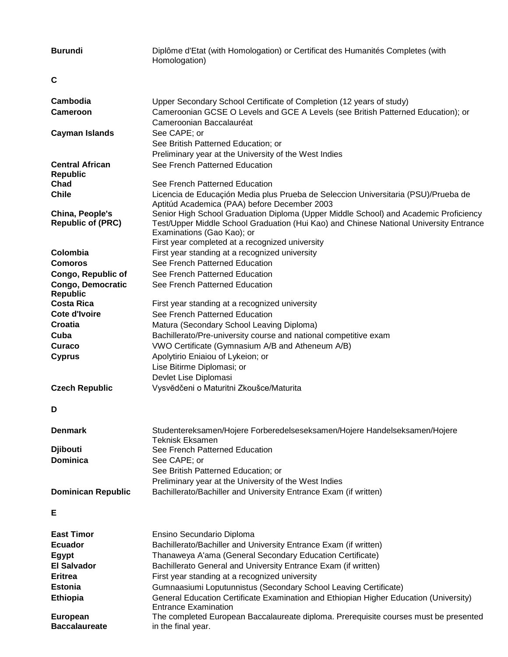| <b>Burundi</b>            | Diplôme d'Etat (with Homologation) or Certificat des Humanités Completes (with<br>Homologation)                                    |
|---------------------------|------------------------------------------------------------------------------------------------------------------------------------|
| C                         |                                                                                                                                    |
| Cambodia                  | Upper Secondary School Certificate of Completion (12 years of study)                                                               |
| <b>Cameroon</b>           | Cameroonian GCSE O Levels and GCE A Levels (see British Patterned Education); or<br>Cameroonian Baccalauréat                       |
| <b>Cayman Islands</b>     | See CAPE; or                                                                                                                       |
|                           | See British Patterned Education; or                                                                                                |
|                           | Preliminary year at the University of the West Indies                                                                              |
| <b>Central African</b>    | See French Patterned Education                                                                                                     |
| <b>Republic</b>           |                                                                                                                                    |
| Chad                      | See French Patterned Education                                                                                                     |
| <b>Chile</b>              | Licencia de Educaçión Media plus Prueba de Seleccion Universitaria (PSU)/Prueba de<br>Aptitúd Academica (PAA) before December 2003 |
| China, People's           | Senior High School Graduation Diploma (Upper Middle School) and Academic Proficiency                                               |
| <b>Republic of (PRC)</b>  | Test/Upper Middle School Graduation (Hui Kao) and Chinese National University Entrance<br>Examinations (Gao Kao); or               |
|                           | First year completed at a recognized university                                                                                    |
| Colombia                  | First year standing at a recognized university                                                                                     |
| <b>Comoros</b>            | See French Patterned Education                                                                                                     |
| Congo, Republic of        | See French Patterned Education                                                                                                     |
| <b>Congo, Democratic</b>  | See French Patterned Education                                                                                                     |
| <b>Republic</b>           |                                                                                                                                    |
| <b>Costa Rica</b>         | First year standing at a recognized university                                                                                     |
| <b>Cote d'Ivoire</b>      | See French Patterned Education                                                                                                     |
| Croatia                   | Matura (Secondary School Leaving Diploma)                                                                                          |
| Cuba                      | Bachillerato/Pre-university course and national competitive exam                                                                   |
| Curaco                    | VWO Certificate (Gymnasium A/B and Atheneum A/B)                                                                                   |
| <b>Cyprus</b>             | Apolytirio Eniaiou of Lykeion; or                                                                                                  |
|                           | Lise Bitirme Diplomasi; or                                                                                                         |
| <b>Czech Republic</b>     | Devlet Lise Diplomasi<br>Vysvědčeni o Maturitni Zkoušce/Maturita                                                                   |
|                           |                                                                                                                                    |
| D                         |                                                                                                                                    |
| <b>Denmark</b>            | Studentereksamen/Hojere Forberedelseseksamen/Hojere Handelseksamen/Hojere                                                          |
| <b>Djibouti</b>           | <b>Teknisk Eksamen</b><br>See French Patterned Education                                                                           |
| <b>Dominica</b>           | See CAPE; or                                                                                                                       |
|                           | See British Patterned Education; or                                                                                                |
|                           | Preliminary year at the University of the West Indies                                                                              |
| <b>Dominican Republic</b> | Bachillerato/Bachiller and University Entrance Exam (if written)                                                                   |
| E                         |                                                                                                                                    |
| <b>East Timor</b>         | Ensino Secundario Diploma                                                                                                          |
| <b>Ecuador</b>            | Bachillerato/Bachiller and University Entrance Exam (if written)                                                                   |
| <b>Egypt</b>              | Thanaweya A'ama (General Secondary Education Certificate)                                                                          |
| <b>El Salvador</b>        | Bachillerato General and University Entrance Exam (if written)                                                                     |
| <b>Eritrea</b>            | First year standing at a recognized university                                                                                     |
| <b>Estonia</b>            | Gumnaasiumi Loputunnistus (Secondary School Leaving Certificate)                                                                   |
| <b>Ethiopia</b>           | General Education Certificate Examination and Ethiopian Higher Education (University)<br><b>Entrance Examination</b>               |
| <b>European</b>           | The completed European Baccalaureate diploma. Prerequisite courses must be presented                                               |
| <b>Baccalaureate</b>      | in the final year.                                                                                                                 |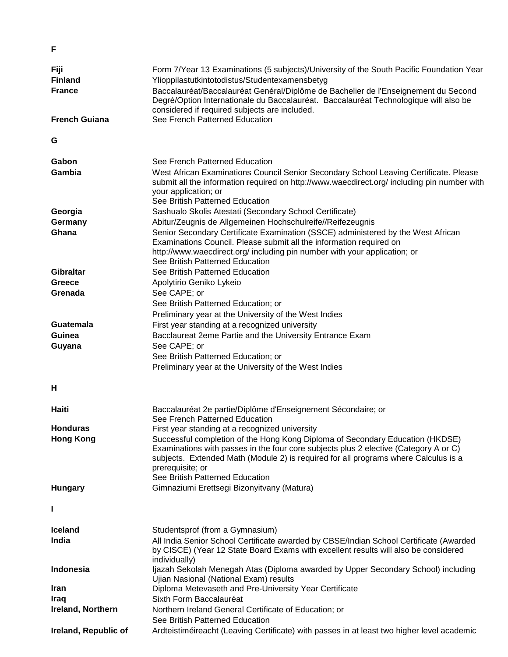| Fiji<br><b>Finland</b> | Form 7/Year 13 Examinations (5 subjects)/University of the South Pacific Foundation Year<br>Ylioppilastutkintotodistus/Studentexamensbetyg                                                                                                                                                                          |
|------------------------|---------------------------------------------------------------------------------------------------------------------------------------------------------------------------------------------------------------------------------------------------------------------------------------------------------------------|
| <b>France</b>          | Baccalauréat/Baccalauréat Genéral/Diplôme de Bachelier de l'Enseignement du Second<br>Degré/Option Internationale du Baccalauréat. Baccalauréat Technologique will also be<br>considered if required subjects are included.                                                                                         |
| <b>French Guiana</b>   | See French Patterned Education                                                                                                                                                                                                                                                                                      |
| G                      |                                                                                                                                                                                                                                                                                                                     |
| Gabon                  | See French Patterned Education                                                                                                                                                                                                                                                                                      |
| Gambia                 | West African Examinations Council Senior Secondary School Leaving Certificate. Please<br>submit all the information required on http://www.waecdirect.org/ including pin number with<br>your application; or<br>See British Patterned Education                                                                     |
| Georgia                | Sashualo Skolis Atestati (Secondary School Certificate)                                                                                                                                                                                                                                                             |
| Germany                | Abitur/Zeugnis de Allgemeinen Hochschulreife//Reifezeugnis                                                                                                                                                                                                                                                          |
| Ghana                  | Senior Secondary Certificate Examination (SSCE) administered by the West African<br>Examinations Council. Please submit all the information required on<br>http://www.waecdirect.org/ including pin number with your application; or                                                                                |
|                        | See British Patterned Education                                                                                                                                                                                                                                                                                     |
| <b>Gibraltar</b>       | See British Patterned Education                                                                                                                                                                                                                                                                                     |
| Greece                 | Apolytirio Geniko Lykeio                                                                                                                                                                                                                                                                                            |
| Grenada                | See CAPE; or                                                                                                                                                                                                                                                                                                        |
|                        | See British Patterned Education; or                                                                                                                                                                                                                                                                                 |
|                        | Preliminary year at the University of the West Indies                                                                                                                                                                                                                                                               |
| Guatemala              | First year standing at a recognized university                                                                                                                                                                                                                                                                      |
| <b>Guinea</b>          | Bacclaureat 2eme Partie and the University Entrance Exam                                                                                                                                                                                                                                                            |
| Guyana                 | See CAPE; or                                                                                                                                                                                                                                                                                                        |
|                        | See British Patterned Education; or                                                                                                                                                                                                                                                                                 |
|                        | Preliminary year at the University of the West Indies                                                                                                                                                                                                                                                               |
| н                      |                                                                                                                                                                                                                                                                                                                     |
| Haiti                  | Baccalauréat 2e partie/Diplôme d'Enseignement Sécondaire; or                                                                                                                                                                                                                                                        |
|                        | See French Patterned Education                                                                                                                                                                                                                                                                                      |
| Honduras               | First year standing at a recognized university                                                                                                                                                                                                                                                                      |
| <b>Hong Kong</b>       | Successful completion of the Hong Kong Diploma of Secondary Education (HKDSE)<br>Examinations with passes in the four core subjects plus 2 elective (Category A or C)<br>subjects. Extended Math (Module 2) is required for all programs where Calculus is a<br>prerequisite; or<br>See British Patterned Education |
| <b>Hungary</b>         | Gimnaziumi Erettsegi Bizonyitvany (Matura)                                                                                                                                                                                                                                                                          |
|                        |                                                                                                                                                                                                                                                                                                                     |
| <b>Iceland</b>         | Studentsprof (from a Gymnasium)                                                                                                                                                                                                                                                                                     |
| India                  | All India Senior School Certificate awarded by CBSE/Indian School Certificate (Awarded<br>by CISCE) (Year 12 State Board Exams with excellent results will also be considered<br>individually)                                                                                                                      |
| Indonesia              | Ijazah Sekolah Menegah Atas (Diploma awarded by Upper Secondary School) including<br>Ujian Nasional (National Exam) results                                                                                                                                                                                         |
| <b>Iran</b>            | Diploma Metevaseth and Pre-University Year Certificate                                                                                                                                                                                                                                                              |
| <b>Iraq</b>            | Sixth Form Baccalauréat                                                                                                                                                                                                                                                                                             |
| Ireland, Northern      | Northern Ireland General Certificate of Education; or                                                                                                                                                                                                                                                               |
|                        | See British Patterned Education                                                                                                                                                                                                                                                                                     |
| Ireland, Republic of   | Ardteistiméireacht (Leaving Certificate) with passes in at least two higher level academic                                                                                                                                                                                                                          |

**F**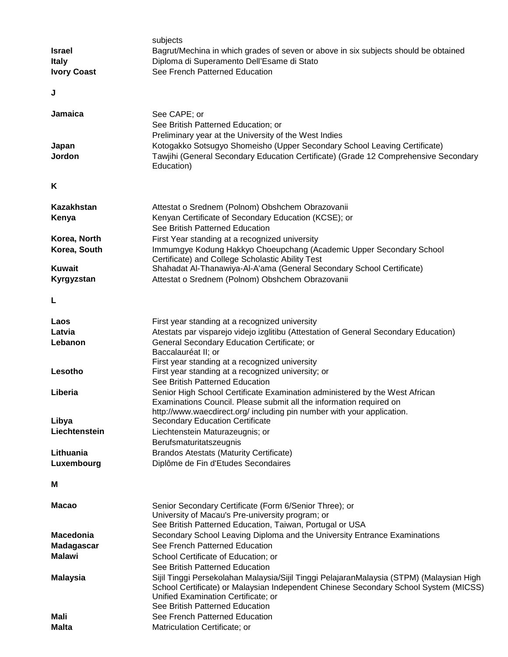|                    | subjects                                                                                 |
|--------------------|------------------------------------------------------------------------------------------|
| <b>Israel</b>      | Bagrut/Mechina in which grades of seven or above in six subjects should be obtained      |
| <b>Italy</b>       | Diploma di Superamento Dell'Esame di Stato                                               |
| <b>Ivory Coast</b> | See French Patterned Education                                                           |
|                    |                                                                                          |
| J                  |                                                                                          |
| Jamaica            | See CAPE; or                                                                             |
|                    | See British Patterned Education; or                                                      |
|                    | Preliminary year at the University of the West Indies                                    |
| Japan              | Kotogakko Sotsugyo Shomeisho (Upper Secondary School Leaving Certificate)                |
| Jordon             | Tawjihi (General Secondary Education Certificate) (Grade 12 Comprehensive Secondary      |
|                    | Education)                                                                               |
|                    |                                                                                          |
| Κ                  |                                                                                          |
| <b>Kazakhstan</b>  | Attestat o Srednem (Polnom) Obshchem Obrazovanii                                         |
| Kenya              | Kenyan Certificate of Secondary Education (KCSE); or                                     |
|                    | See British Patterned Education                                                          |
| Korea, North       | First Year standing at a recognized university                                           |
| Korea, South       | Immumgye Kodung Hakkyo Choeupchang (Academic Upper Secondary School                      |
|                    | Certificate) and College Scholastic Ability Test                                         |
| <b>Kuwait</b>      | Shahadat Al-Thanawiya-Al-A'ama (General Secondary School Certificate)                    |
| Kyrgyzstan         | Attestat o Srednem (Polnom) Obshchem Obrazovanii                                         |
| L                  |                                                                                          |
| Laos               | First year standing at a recognized university                                           |
| Latvia             |                                                                                          |
|                    | Atestats par visparejo videjo izglitibu (Attestation of General Secondary Education)     |
| Lebanon            | General Secondary Education Certificate; or<br>Baccalauréat II; or                       |
|                    | First year standing at a recognized university                                           |
| Lesotho            | First year standing at a recognized university; or                                       |
|                    | See British Patterned Education                                                          |
| Liberia            | Senior High School Certificate Examination administered by the West African              |
|                    | Examinations Council. Please submit all the information required on                      |
|                    | http://www.waecdirect.org/ including pin number with your application.                   |
| Libya              | Secondary Education Certificate                                                          |
| Liechtenstein      | Liechtenstein Maturazeugnis; or                                                          |
|                    | Berufsmaturitatszeugnis                                                                  |
| Lithuania          | <b>Brandos Atestats (Maturity Certificate)</b>                                           |
| Luxembourg         | Diplôme de Fin d'Etudes Secondaires                                                      |
|                    |                                                                                          |
| М                  |                                                                                          |
| <b>Macao</b>       | Senior Secondary Certificate (Form 6/Senior Three); or                                   |
|                    | University of Macau's Pre-university program; or                                         |
|                    | See British Patterned Education, Taiwan, Portugal or USA                                 |
| <b>Macedonia</b>   | Secondary School Leaving Diploma and the University Entrance Examinations                |
| <b>Madagascar</b>  | See French Patterned Education                                                           |
| <b>Malawi</b>      | School Certificate of Education; or                                                      |
|                    | See British Patterned Education                                                          |
| <b>Malaysia</b>    | Sijil Tinggi Persekolahan Malaysia/Sijil Tinggi PelajaranMalaysia (STPM) (Malaysian High |
|                    | School Certificate) or Malaysian Independent Chinese Secondary School System (MICSS)     |
|                    | Unified Examination Certificate; or                                                      |
|                    | See British Patterned Education                                                          |
| Mali               | See French Patterned Education                                                           |
| <b>Malta</b>       | Matriculation Certificate; or                                                            |
|                    |                                                                                          |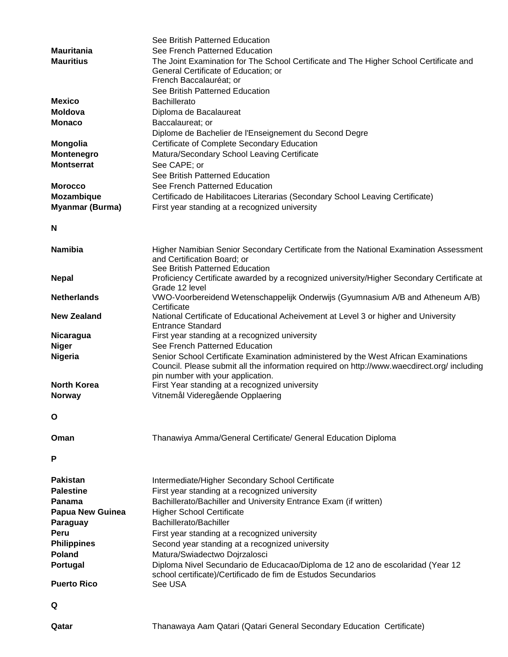|                         | See British Patterned Education                                                             |
|-------------------------|---------------------------------------------------------------------------------------------|
| <b>Mauritania</b>       | See French Patterned Education                                                              |
| <b>Mauritius</b>        | The Joint Examination for The School Certificate and The Higher School Certificate and      |
|                         | General Certificate of Education; or                                                        |
|                         | French Baccalauréat; or                                                                     |
|                         | See British Patterned Education                                                             |
| <b>Mexico</b>           | <b>Bachillerato</b>                                                                         |
| <b>Moldova</b>          | Diploma de Bacalaureat                                                                      |
| <b>Monaco</b>           | Baccalaureat; or                                                                            |
|                         | Diplome de Bachelier de l'Enseignement du Second Degre                                      |
| <b>Mongolia</b>         | Certificate of Complete Secondary Education                                                 |
| Montenegro              | Matura/Secondary School Leaving Certificate                                                 |
| <b>Montserrat</b>       | See CAPE; or                                                                                |
|                         | See British Patterned Education                                                             |
| <b>Morocco</b>          | See French Patterned Education                                                              |
| Mozambique              | Certificado de Habilitacoes Literarias (Secondary School Leaving Certificate)               |
| <b>Myanmar (Burma)</b>  | First year standing at a recognized university                                              |
|                         |                                                                                             |
| N                       |                                                                                             |
|                         |                                                                                             |
| <b>Namibia</b>          | Higher Namibian Senior Secondary Certificate from the National Examination Assessment       |
|                         | and Certification Board; or                                                                 |
|                         | See British Patterned Education                                                             |
| <b>Nepal</b>            | Proficiency Certificate awarded by a recognized university/Higher Secondary Certificate at  |
|                         | Grade 12 level                                                                              |
| <b>Netherlands</b>      | VWO-Voorbereidend Wetenschappelijk Onderwijs (Gyumnasium A/B and Atheneum A/B)              |
|                         | Certificate                                                                                 |
| <b>New Zealand</b>      | National Certificate of Educational Acheivement at Level 3 or higher and University         |
|                         | <b>Entrance Standard</b>                                                                    |
| Nicaragua               | First year standing at a recognized university                                              |
| <b>Niger</b>            | See French Patterned Education                                                              |
| <b>Nigeria</b>          | Senior School Certificate Examination administered by the West African Examinations         |
|                         | Council. Please submit all the information required on http://www.waecdirect.org/ including |
| <b>North Korea</b>      | pin number with your application.<br>First Year standing at a recognized university         |
| <b>Norway</b>           | Vitnemål Videregående Opplaering                                                            |
|                         |                                                                                             |
| O                       |                                                                                             |
|                         |                                                                                             |
|                         |                                                                                             |
| Oman                    | Thanawiya Amma/General Certificate/ General Education Diploma                               |
|                         |                                                                                             |
| P                       |                                                                                             |
|                         |                                                                                             |
| <b>Pakistan</b>         | Intermediate/Higher Secondary School Certificate                                            |
| <b>Palestine</b>        | First year standing at a recognized university                                              |
| Panama                  | Bachillerato/Bachiller and University Entrance Exam (if written)                            |
| <b>Papua New Guinea</b> | <b>Higher School Certificate</b>                                                            |
| Paraguay                | Bachillerato/Bachiller                                                                      |
| Peru                    | First year standing at a recognized university                                              |
| <b>Philippines</b>      | Second year standing at a recognized university                                             |
| <b>Poland</b>           | Matura/Swiadectwo Dojrzalosci                                                               |
| <b>Portugal</b>         | Diploma Nivel Secundario de Educacao/Diploma de 12 ano de escolaridad (Year 12              |
|                         | school certificate)/Certificado de fim de Estudos Secundarios                               |
| <b>Puerto Rico</b>      | See USA                                                                                     |
|                         |                                                                                             |
| Q                       |                                                                                             |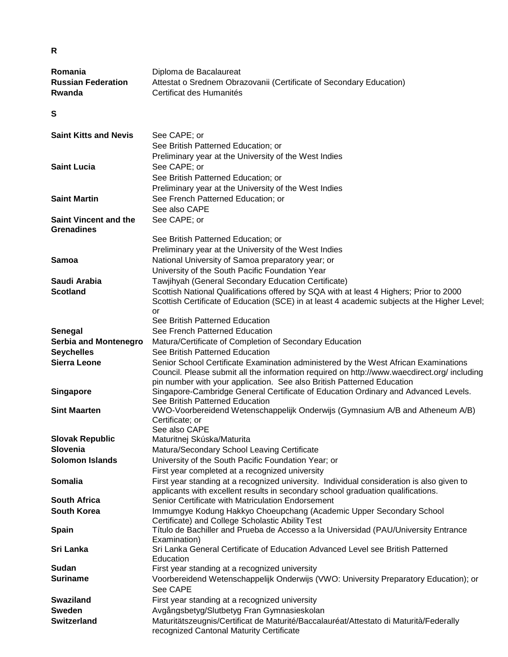| Romania                      | Diploma de Bacalaureat                                                                       |
|------------------------------|----------------------------------------------------------------------------------------------|
| <b>Russian Federation</b>    | Attestat o Srednem Obrazovanii (Certificate of Secondary Education)                          |
| Rwanda                       | Certificat des Humanités                                                                     |
|                              |                                                                                              |
| S                            |                                                                                              |
|                              |                                                                                              |
| <b>Saint Kitts and Nevis</b> | See CAPE; or                                                                                 |
|                              | See British Patterned Education; or                                                          |
|                              | Preliminary year at the University of the West Indies                                        |
| <b>Saint Lucia</b>           | See CAPE; or                                                                                 |
|                              |                                                                                              |
|                              | See British Patterned Education; or                                                          |
|                              | Preliminary year at the University of the West Indies                                        |
| <b>Saint Martin</b>          | See French Patterned Education; or                                                           |
|                              | See also CAPE                                                                                |
| <b>Saint Vincent and the</b> | See CAPE; or                                                                                 |
| <b>Grenadines</b>            |                                                                                              |
|                              | See British Patterned Education; or                                                          |
|                              | Preliminary year at the University of the West Indies                                        |
| <b>Samoa</b>                 | National University of Samoa preparatory year; or                                            |
|                              | University of the South Pacific Foundation Year                                              |
| Saudi Arabia                 | Tawjihyah (General Secondary Education Certificate)                                          |
| <b>Scotland</b>              | Scottish National Qualifications offered by SQA with at least 4 Highers; Prior to 2000       |
|                              | Scottish Certificate of Education (SCE) in at least 4 academic subjects at the Higher Level; |
|                              | or                                                                                           |
|                              | See British Patterned Education                                                              |
| Senegal                      | See French Patterned Education                                                               |
| <b>Serbia and Montenegro</b> | Matura/Certificate of Completion of Secondary Education                                      |
| <b>Seychelles</b>            | See British Patterned Education                                                              |
| <b>Sierra Leone</b>          | Senior School Certificate Examination administered by the West African Examinations          |
|                              | Council. Please submit all the information required on http://www.waecdirect.org/ including  |
|                              | pin number with your application. See also British Patterned Education                       |
| <b>Singapore</b>             | Singapore-Cambridge General Certificate of Education Ordinary and Advanced Levels.           |
|                              | See British Patterned Education                                                              |
| <b>Sint Maarten</b>          | VWO-Voorbereidend Wetenschappelijk Onderwijs (Gymnasium A/B and Atheneum A/B)                |
|                              | Certificate; or                                                                              |
|                              | See also CAPE                                                                                |
| <b>Slovak Republic</b>       | Maturitnej Skúska/Maturita                                                                   |
| Slovenia                     | Matura/Secondary School Leaving Certificate                                                  |
| <b>Solomon Islands</b>       | University of the South Pacific Foundation Year; or                                          |
|                              | First year completed at a recognized university                                              |
| Somalia                      | First year standing at a recognized university. Individual consideration is also given to    |
|                              | applicants with excellent results in secondary school graduation qualifications.             |
| <b>South Africa</b>          | Senior Certificate with Matriculation Endorsement                                            |
| <b>South Korea</b>           | Immumgye Kodung Hakkyo Choeupchang (Academic Upper Secondary School                          |
|                              | Certificate) and College Scholastic Ability Test                                             |
| <b>Spain</b>                 | Título de Bachiller and Prueba de Accesso a la Universidad (PAU/University Entrance          |
|                              | Examination)                                                                                 |
| Sri Lanka                    | Sri Lanka General Certificate of Education Advanced Level see British Patterned              |
| Sudan                        | Education                                                                                    |
|                              | First year standing at a recognized university                                               |
| <b>Suriname</b>              | Voorbereidend Wetenschappelijk Onderwijs (VWO: University Preparatory Education); or         |
|                              | See CAPE                                                                                     |
| <b>Swaziland</b>             | First year standing at a recognized university                                               |
| <b>Sweden</b>                | Avgångsbetyg/Slutbetyg Fran Gymnasieskolan                                                   |

**Switzerland** Maturitätszeugnis/Certificat de Maturité/Baccalauréat/Attestato di Maturità/Federally

recognized Cantonal Maturity Certificate

**R**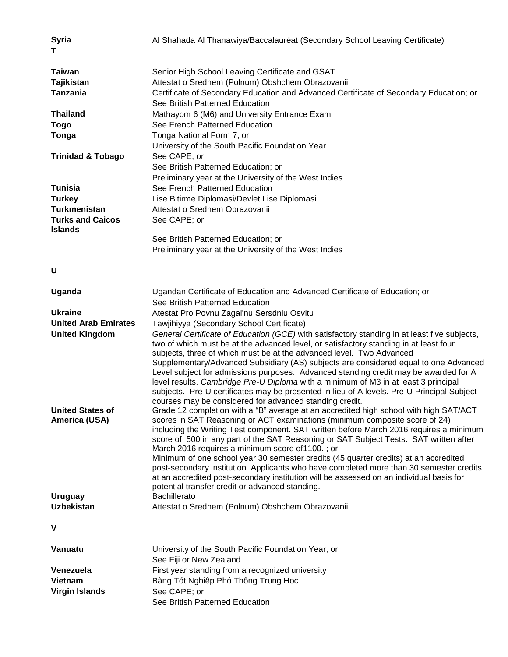| <b>Syria</b><br>т                         | Al Shahada Al Thanawiya/Baccalauréat (Secondary School Leaving Certificate)                                                                                                                                                                                                                                                                                                                                                                                                                                                                                                                                                                                                                                                                  |
|-------------------------------------------|----------------------------------------------------------------------------------------------------------------------------------------------------------------------------------------------------------------------------------------------------------------------------------------------------------------------------------------------------------------------------------------------------------------------------------------------------------------------------------------------------------------------------------------------------------------------------------------------------------------------------------------------------------------------------------------------------------------------------------------------|
| <b>Taiwan</b>                             | Senior High School Leaving Certificate and GSAT                                                                                                                                                                                                                                                                                                                                                                                                                                                                                                                                                                                                                                                                                              |
| <b>Tajikistan</b>                         | Attestat o Srednem (Polnum) Obshchem Obrazovanii                                                                                                                                                                                                                                                                                                                                                                                                                                                                                                                                                                                                                                                                                             |
| <b>Tanzania</b>                           | Certificate of Secondary Education and Advanced Certificate of Secondary Education; or                                                                                                                                                                                                                                                                                                                                                                                                                                                                                                                                                                                                                                                       |
|                                           | See British Patterned Education                                                                                                                                                                                                                                                                                                                                                                                                                                                                                                                                                                                                                                                                                                              |
| <b>Thailand</b>                           | Mathayom 6 (M6) and University Entrance Exam                                                                                                                                                                                                                                                                                                                                                                                                                                                                                                                                                                                                                                                                                                 |
| <b>Togo</b>                               | See French Patterned Education                                                                                                                                                                                                                                                                                                                                                                                                                                                                                                                                                                                                                                                                                                               |
| Tonga                                     | Tonga National Form 7; or                                                                                                                                                                                                                                                                                                                                                                                                                                                                                                                                                                                                                                                                                                                    |
|                                           | University of the South Pacific Foundation Year                                                                                                                                                                                                                                                                                                                                                                                                                                                                                                                                                                                                                                                                                              |
| <b>Trinidad &amp; Tobago</b>              | See CAPE; or                                                                                                                                                                                                                                                                                                                                                                                                                                                                                                                                                                                                                                                                                                                                 |
|                                           | See British Patterned Education; or                                                                                                                                                                                                                                                                                                                                                                                                                                                                                                                                                                                                                                                                                                          |
|                                           | Preliminary year at the University of the West Indies                                                                                                                                                                                                                                                                                                                                                                                                                                                                                                                                                                                                                                                                                        |
| <b>Tunisia</b>                            | See French Patterned Education                                                                                                                                                                                                                                                                                                                                                                                                                                                                                                                                                                                                                                                                                                               |
| <b>Turkey</b>                             | Lise Bitirme Diplomasi/Devlet Lise Diplomasi                                                                                                                                                                                                                                                                                                                                                                                                                                                                                                                                                                                                                                                                                                 |
| <b>Turkmenistan</b>                       | Attestat o Srednem Obrazovanii                                                                                                                                                                                                                                                                                                                                                                                                                                                                                                                                                                                                                                                                                                               |
| <b>Turks and Caicos</b><br><b>Islands</b> | See CAPE; or                                                                                                                                                                                                                                                                                                                                                                                                                                                                                                                                                                                                                                                                                                                                 |
|                                           | See British Patterned Education; or                                                                                                                                                                                                                                                                                                                                                                                                                                                                                                                                                                                                                                                                                                          |
|                                           | Preliminary year at the University of the West Indies                                                                                                                                                                                                                                                                                                                                                                                                                                                                                                                                                                                                                                                                                        |
| U                                         |                                                                                                                                                                                                                                                                                                                                                                                                                                                                                                                                                                                                                                                                                                                                              |
| Uganda                                    | Ugandan Certificate of Education and Advanced Certificate of Education; or<br>See British Patterned Education                                                                                                                                                                                                                                                                                                                                                                                                                                                                                                                                                                                                                                |
| <b>Ukraine</b>                            | Atestat Pro Povnu Zagal'nu Sersdniu Osvitu                                                                                                                                                                                                                                                                                                                                                                                                                                                                                                                                                                                                                                                                                                   |
| <b>United Arab Emirates</b>               | Tawjihiyya (Secondary School Certificate)                                                                                                                                                                                                                                                                                                                                                                                                                                                                                                                                                                                                                                                                                                    |
| <b>United Kingdom</b>                     | General Certificate of Education (GCE) with satisfactory standing in at least five subjects,<br>two of which must be at the advanced level, or satisfactory standing in at least four<br>subjects, three of which must be at the advanced level. Two Advanced<br>Supplementary/Advanced Subsidiary (AS) subjects are considered equal to one Advanced<br>Level subject for admissions purposes. Advanced standing credit may be awarded for A<br>level results. Cambridge Pre-U Diploma with a minimum of M3 in at least 3 principal<br>subjects. Pre-U certificates may be presented in lieu of A levels. Pre-U Principal Subject<br>courses may be considered for advanced standing credit.                                                |
| <b>United States of</b><br>America (USA)  | Grade 12 completion with a "B" average at an accredited high school with high SAT/ACT<br>scores in SAT Reasoning or ACT examinations (minimum composite score of 24)<br>including the Writing Test component. SAT written before March 2016 requires a minimum<br>score of 500 in any part of the SAT Reasoning or SAT Subject Tests. SAT written after<br>March 2016 requires a minimum score of 1100.; or<br>Minimum of one school year 30 semester credits (45 quarter credits) at an accredited<br>post-secondary institution. Applicants who have completed more than 30 semester credits<br>at an accredited post-secondary institution will be assessed on an individual basis for<br>potential transfer credit or advanced standing. |
| <b>Uruguay</b>                            | <b>Bachillerato</b>                                                                                                                                                                                                                                                                                                                                                                                                                                                                                                                                                                                                                                                                                                                          |
| <b>Uzbekistan</b>                         | Attestat o Srednem (Polnum) Obshchem Obrazovanii                                                                                                                                                                                                                                                                                                                                                                                                                                                                                                                                                                                                                                                                                             |
| V                                         |                                                                                                                                                                                                                                                                                                                                                                                                                                                                                                                                                                                                                                                                                                                                              |
| Vanuatu                                   | University of the South Pacific Foundation Year; or                                                                                                                                                                                                                                                                                                                                                                                                                                                                                                                                                                                                                                                                                          |
|                                           | See Fiji or New Zealand                                                                                                                                                                                                                                                                                                                                                                                                                                                                                                                                                                                                                                                                                                                      |
| Venezuela<br><b>Vietnam</b>               | First year standing from a recognized university                                                                                                                                                                                                                                                                                                                                                                                                                                                                                                                                                                                                                                                                                             |
| <b>Virgin Islands</b>                     | Bàng Tót Nghiêp Phó Thông Trung Hoc                                                                                                                                                                                                                                                                                                                                                                                                                                                                                                                                                                                                                                                                                                          |
|                                           | See CAPE; or<br>See British Patterned Education                                                                                                                                                                                                                                                                                                                                                                                                                                                                                                                                                                                                                                                                                              |